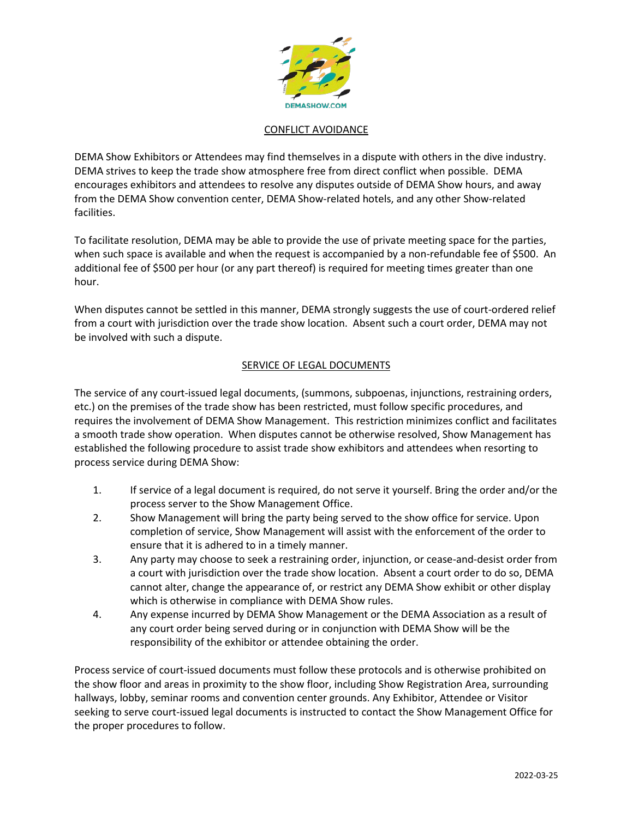

## CONFLICT AVOIDANCE

DEMA Show Exhibitors or Attendees may find themselves in a dispute with others in the dive industry. DEMA strives to keep the trade show atmosphere free from direct conflict when possible. DEMA encourages exhibitors and attendees to resolve any disputes outside of DEMA Show hours, and away from the DEMA Show convention center, DEMA Show-related hotels, and any other Show-related facilities.

To facilitate resolution, DEMA may be able to provide the use of private meeting space for the parties, when such space is available and when the request is accompanied by a non-refundable fee of \$500. An additional fee of \$500 per hour (or any part thereof) is required for meeting times greater than one hour.

When disputes cannot be settled in this manner, DEMA strongly suggests the use of court-ordered relief from a court with jurisdiction over the trade show location. Absent such a court order, DEMA may not be involved with such a dispute.

## SERVICE OF LEGAL DOCUMENTS

The service of any court-issued legal documents, (summons, subpoenas, injunctions, restraining orders, etc.) on the premises of the trade show has been restricted, must follow specific procedures, and requires the involvement of DEMA Show Management. This restriction minimizes conflict and facilitates a smooth trade show operation. When disputes cannot be otherwise resolved, Show Management has established the following procedure to assist trade show exhibitors and attendees when resorting to process service during DEMA Show:

- 1. If service of a legal document is required, do not serve it yourself. Bring the order and/or the process server to the Show Management Office.
- 2. Show Management will bring the party being served to the show office for service. Upon completion of service, Show Management will assist with the enforcement of the order to ensure that it is adhered to in a timely manner.
- 3. Any party may choose to seek a restraining order, injunction, or cease-and-desist order from a court with jurisdiction over the trade show location. Absent a court order to do so, DEMA cannot alter, change the appearance of, or restrict any DEMA Show exhibit or other display which is otherwise in compliance with DEMA Show rules.
- 4. Any expense incurred by DEMA Show Management or the DEMA Association as a result of any court order being served during or in conjunction with DEMA Show will be the responsibility of the exhibitor or attendee obtaining the order.

Process service of court-issued documents must follow these protocols and is otherwise prohibited on the show floor and areas in proximity to the show floor, including Show Registration Area, surrounding hallways, lobby, seminar rooms and convention center grounds. Any Exhibitor, Attendee or Visitor seeking to serve court-issued legal documents is instructed to contact the Show Management Office for the proper procedures to follow.